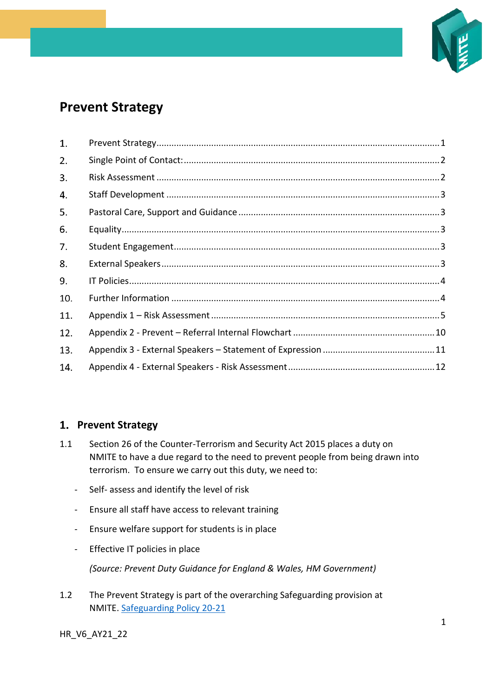

# **Prevent Strategy**

| 1.  |  |
|-----|--|
| 2.  |  |
| 3.  |  |
| 4.  |  |
| 5.  |  |
| 6.  |  |
| 7.  |  |
| 8.  |  |
| 9.  |  |
| 10. |  |
| 11. |  |
| 12. |  |
| 13. |  |
| 14. |  |

# <span id="page-0-0"></span>**Prevent Strategy**

- 1.1 Section 26 of the Counter-Terrorism and Security Act 2015 places a duty on NMITE to have a due regard to the need to prevent people from being drawn into terrorism. To ensure we carry out this duty, we need to:
	- Self- assess and identify the level of risk
	- Ensure all staff have access to relevant training
	- Ensure welfare support for students is in place
	- Effective IT policies in place

*(Source: Prevent Duty Guidance for England & Wales, HM Government)*

1.2 The Prevent Strategy is part of the overarching Safeguarding provision at NMITE. [Safeguarding Policy 20-21](https://nmite.ac.uk/sites/default/files/inline-files/Web_Safeguarding%20Policy_2020_21-V7_0.pdf)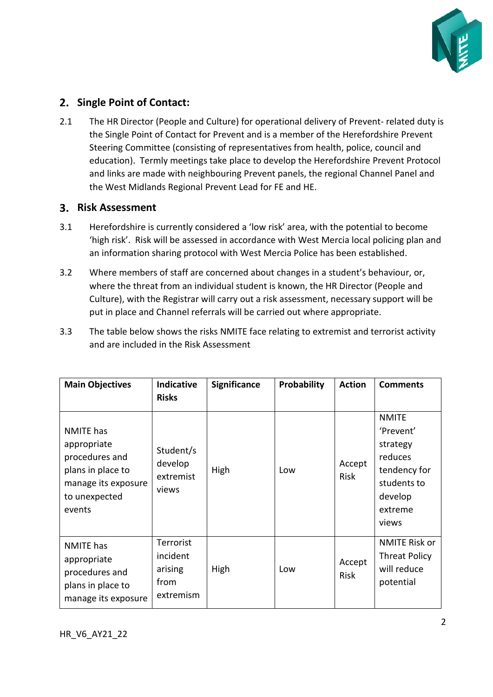

# <span id="page-1-0"></span>**2. Single Point of Contact:**

2.1 The HR Director (People and Culture) for operational delivery of Prevent- related duty is the Single Point of Contact for Prevent and is a member of the Herefordshire Prevent Steering Committee (consisting of representatives from health, police, council and education). Termly meetings take place to develop the Herefordshire Prevent Protocol and links are made with neighbouring Prevent panels, the regional Channel Panel and the West Midlands Regional Prevent Lead for FE and HE.

## <span id="page-1-1"></span>**Risk Assessment**

- 3.1 Herefordshire is currently considered a 'low risk' area, with the potential to become 'high risk'. Risk will be assessed in accordance with West Mercia local policing plan and an information sharing protocol with West Mercia Police has been established.
- 3.2 Where members of staff are concerned about changes in a student's behaviour, or, where the threat from an individual student is known, the HR Director (People and Culture), with the Registrar will carry out a risk assessment, necessary support will be put in place and Channel referrals will be carried out where appropriate.
- 3.3 The table below shows the risks NMITE face relating to extremist and terrorist activity and are included in the Risk Assessment

| <b>Main Objectives</b>                                                                                                   | <b>Indicative</b><br><b>Risks</b>                     | <b>Significance</b> | <b>Probability</b> | <b>Action</b>         | <b>Comments</b>                                                                                                |
|--------------------------------------------------------------------------------------------------------------------------|-------------------------------------------------------|---------------------|--------------------|-----------------------|----------------------------------------------------------------------------------------------------------------|
| <b>NMITE</b> has<br>appropriate<br>procedures and<br>plans in place to<br>manage its exposure<br>to unexpected<br>events | Student/s<br>develop<br>extremist<br>views            | High                | Low                | Accept<br><b>Risk</b> | <b>NMITE</b><br>'Prevent'<br>strategy<br>reduces<br>tendency for<br>students to<br>develop<br>extreme<br>views |
| <b>NMITE</b> has<br>appropriate<br>procedures and<br>plans in place to<br>manage its exposure                            | Terrorist<br>incident<br>arising<br>from<br>extremism | High                | Low                | Accept<br><b>Risk</b> | <b>NMITE Risk or</b><br><b>Threat Policy</b><br>will reduce<br>potential                                       |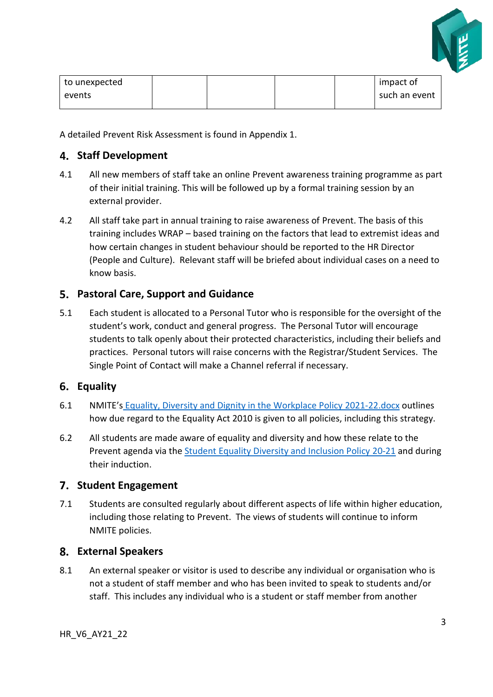

| to unexpected |  |  | impact of     |
|---------------|--|--|---------------|
| events        |  |  | such an event |
|               |  |  |               |

A detailed Prevent Risk Assessment is found in Appendix 1.

### <span id="page-2-0"></span>**Staff Development**

- 4.1 All new members of staff take an online Prevent awareness training programme as part of their initial training. This will be followed up by a formal training session by an external provider.
- 4.2 All staff take part in annual training to raise awareness of Prevent. The basis of this training includes WRAP – based training on the factors that lead to extremist ideas and how certain changes in student behaviour should be reported to the HR Director (People and Culture). Relevant staff will be briefed about individual cases on a need to know basis.

#### <span id="page-2-1"></span>**Pastoral Care, Support and Guidance**

5.1 Each student is allocated to a Personal Tutor who is responsible for the oversight of the student's work, conduct and general progress. The Personal Tutor will encourage students to talk openly about their protected characteristics, including their beliefs and practices. Personal tutors will raise concerns with the Registrar/Student Services. The Single Point of Contact will make a Channel referral if necessary.

#### <span id="page-2-2"></span>**Equality**

- 6.1 NMITE's [Equality, Diversity and Dignity in the Workplace Policy](file:///C:/Users/LisaO) 2021-22.docx outlines how due regard to the Equality Act 2010 is given to all policies, including this strategy.
- 6.2 All students are made aware of equality and diversity and how these relate to the Prevent agenda via the [Student Equality Diversity and Inclusion Policy](https://nmite.ac.uk/sites/default/files/inline-files/Web_Student%20Equality%20Diversity%20and%20Inclusion%20Policy_2020_21.pdf) 20-21 and during their induction.

#### <span id="page-2-3"></span>**Student Engagement**

7.1 Students are consulted regularly about different aspects of life within higher education, including those relating to Prevent. The views of students will continue to inform NMITE policies.

#### <span id="page-2-4"></span>**External Speakers**

8.1 An external speaker or visitor is used to describe any individual or organisation who is not a student of staff member and who has been invited to speak to students and/or staff. This includes any individual who is a student or staff member from another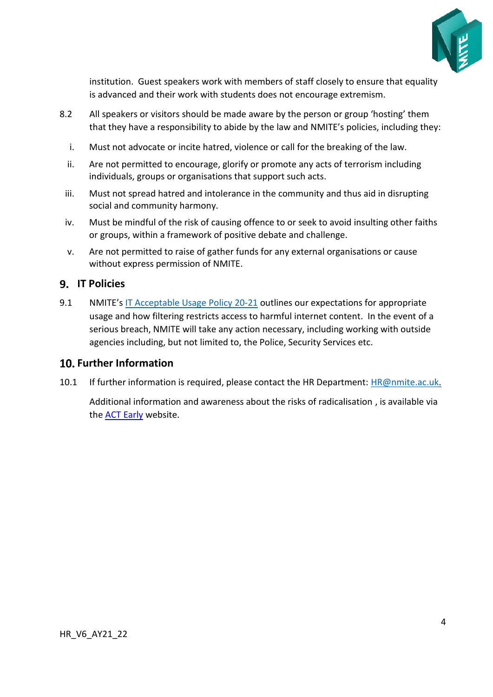

institution. Guest speakers work with members of staff closely to ensure that equality is advanced and their work with students does not encourage extremism.

- 8.2 All speakers or visitors should be made aware by the person or group 'hosting' them that they have a responsibility to abide by the law and NMITE's policies, including they:
	- i. Must not advocate or incite hatred, violence or call for the breaking of the law.
	- ii. Are not permitted to encourage, glorify or promote any acts of terrorism including individuals, groups or organisations that support such acts.
	- iii. Must not spread hatred and intolerance in the community and thus aid in disrupting social and community harmony.
	- iv. Must be mindful of the risk of causing offence to or seek to avoid insulting other faiths or groups, within a framework of positive debate and challenge.
	- v. Are not permitted to raise of gather funds for any external organisations or cause without express permission of NMITE.

# <span id="page-3-0"></span>**IT Policies**

9.1 NMITE's [IT Acceptable Usage Policy](https://nmite.ac.uk/sites/default/files/inline-files/Web_IT%20Acceptable%20Usage%20Policy_2020_21-V2.pdf) 20-21 outlines our expectations for appropriate usage and how filtering restricts access to harmful internet content. In the event of a serious breach, NMITE will take any action necessary, including working with outside agencies including, but not limited to, the Police, Security Services etc.

# <span id="page-3-1"></span>**Further Information**

10.1 If further information is required, please contact the HR Department: [HR@nmite.ac.uk.](mailto:HR@nmite.ac.uk)

Additional information and awareness about the risks of radicalisation , is available via the [ACT Early](https://gbr01.safelinks.protection.outlook.com/?url=https%3A%2F%2Factearly.uk%2F&data=04%7C01%7Csamantha.lewis%40nmite.ac.uk%7C9e1e6f38402342bcde4a08d8cdd0fc4f%7C18cdf9a89ae448ddaaf9edeb937bb22a%7C0%7C0%7C637485644752145728%7CUnknown%7CTWFpbGZsb3d8eyJWIjoiMC4wLjAwMDAiLCJQIjoiV2luMzIiLCJBTiI6Ik1haWwiLCJXVCI6Mn0%3D%7C1000&sdata=GKV2pWAt1QUTti9QbAqRy3XVo9o3P3hP7o%2F%2BHsaJnos%3D&reserved=0) website.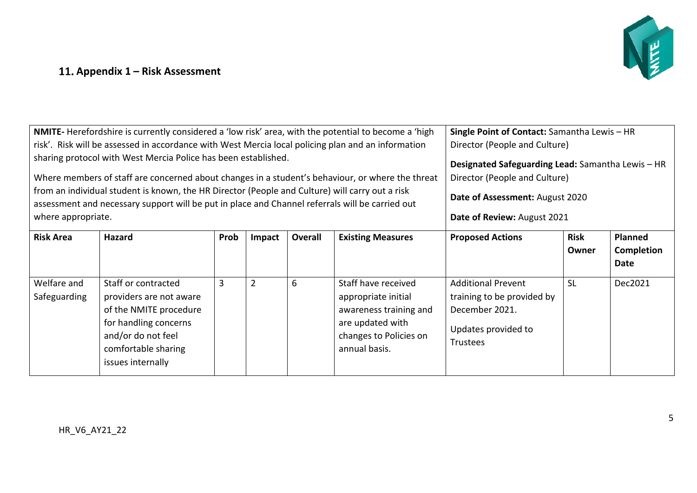# NE

# **Appendix 1 – Risk Assessment**

<span id="page-4-0"></span>

| where appropriate.          | NMITE-Herefordshire is currently considered a 'low risk' area, with the potential to become a 'high<br>risk'. Risk will be assessed in accordance with West Mercia local policing plan and an information<br>sharing protocol with West Mercia Police has been established.<br>Where members of staff are concerned about changes in a student's behaviour, or where the threat<br>from an individual student is known, the HR Director (People and Culture) will carry out a risk<br>assessment and necessary support will be put in place and Channel referrals will be carried out | Single Point of Contact: Samantha Lewis - HR<br>Director (People and Culture)<br>Designated Safeguarding Lead: Samantha Lewis - HR<br>Director (People and Culture)<br>Date of Assessment: August 2020<br>Date of Review: August 2021 |                |                |                                                                                                                                     |                                                                                                              |                      |                                      |
|-----------------------------|---------------------------------------------------------------------------------------------------------------------------------------------------------------------------------------------------------------------------------------------------------------------------------------------------------------------------------------------------------------------------------------------------------------------------------------------------------------------------------------------------------------------------------------------------------------------------------------|---------------------------------------------------------------------------------------------------------------------------------------------------------------------------------------------------------------------------------------|----------------|----------------|-------------------------------------------------------------------------------------------------------------------------------------|--------------------------------------------------------------------------------------------------------------|----------------------|--------------------------------------|
| <b>Risk Area</b>            | <b>Hazard</b>                                                                                                                                                                                                                                                                                                                                                                                                                                                                                                                                                                         | Prob                                                                                                                                                                                                                                  | Impact         | <b>Overall</b> | <b>Existing Measures</b>                                                                                                            | <b>Proposed Actions</b>                                                                                      | <b>Risk</b><br>Owner | <b>Planned</b><br>Completion<br>Date |
| Welfare and<br>Safeguarding | Staff or contracted<br>providers are not aware<br>of the NMITE procedure<br>for handling concerns<br>and/or do not feel<br>comfortable sharing<br>issues internally                                                                                                                                                                                                                                                                                                                                                                                                                   | 3                                                                                                                                                                                                                                     | $\overline{2}$ | 6              | Staff have received<br>appropriate initial<br>awareness training and<br>are updated with<br>changes to Policies on<br>annual basis. | <b>Additional Prevent</b><br>training to be provided by<br>December 2021.<br>Updates provided to<br>Trustees | <b>SL</b>            | Dec2021                              |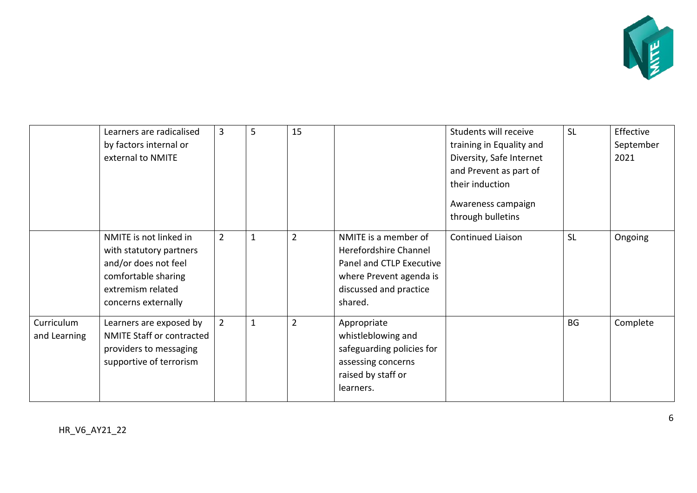

|              | Learners are radicalised         | 3              | 5            | 15             |                           | Students will receive    | <b>SL</b> | Effective |
|--------------|----------------------------------|----------------|--------------|----------------|---------------------------|--------------------------|-----------|-----------|
|              | by factors internal or           |                |              |                |                           | training in Equality and |           | September |
|              | external to NMITE                |                |              |                |                           | Diversity, Safe Internet |           | 2021      |
|              |                                  |                |              |                |                           | and Prevent as part of   |           |           |
|              |                                  |                |              |                |                           | their induction          |           |           |
|              |                                  |                |              |                |                           | Awareness campaign       |           |           |
|              |                                  |                |              |                |                           | through bulletins        |           |           |
|              | NMITE is not linked in           | $\overline{2}$ | $\mathbf{1}$ | $\overline{2}$ | NMITE is a member of      | <b>Continued Liaison</b> | <b>SL</b> | Ongoing   |
|              | with statutory partners          |                |              |                | Herefordshire Channel     |                          |           |           |
|              | and/or does not feel             |                |              |                | Panel and CTLP Executive  |                          |           |           |
|              | comfortable sharing              |                |              |                | where Prevent agenda is   |                          |           |           |
|              | extremism related                |                |              |                | discussed and practice    |                          |           |           |
|              | concerns externally              |                |              |                | shared.                   |                          |           |           |
| Curriculum   | Learners are exposed by          | $\overline{2}$ | $\mathbf 1$  | $\overline{2}$ | Appropriate               |                          | <b>BG</b> | Complete  |
| and Learning | <b>NMITE Staff or contracted</b> |                |              |                | whistleblowing and        |                          |           |           |
|              | providers to messaging           |                |              |                | safeguarding policies for |                          |           |           |
|              | supportive of terrorism          |                |              |                | assessing concerns        |                          |           |           |
|              |                                  |                |              |                | raised by staff or        |                          |           |           |
|              |                                  |                |              |                | learners.                 |                          |           |           |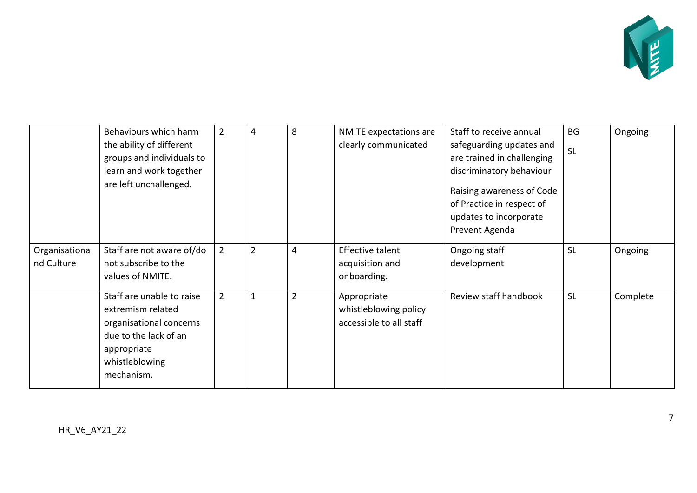

|                             | Behaviours which harm                                                                                                                             | $\overline{2}$ | 4              | 8              | NMITE expectations are                                          | Staff to receive annual                                                                            | <b>BG</b> | Ongoing  |
|-----------------------------|---------------------------------------------------------------------------------------------------------------------------------------------------|----------------|----------------|----------------|-----------------------------------------------------------------|----------------------------------------------------------------------------------------------------|-----------|----------|
|                             | the ability of different                                                                                                                          |                |                |                | clearly communicated                                            | safeguarding updates and                                                                           | <b>SL</b> |          |
|                             | groups and individuals to                                                                                                                         |                |                |                |                                                                 | are trained in challenging                                                                         |           |          |
|                             | learn and work together                                                                                                                           |                |                |                |                                                                 | discriminatory behaviour                                                                           |           |          |
|                             | are left unchallenged.                                                                                                                            |                |                |                |                                                                 | Raising awareness of Code<br>of Practice in respect of<br>updates to incorporate<br>Prevent Agenda |           |          |
| Organisationa<br>nd Culture | Staff are not aware of/do<br>not subscribe to the<br>values of NMITE.                                                                             | $\overline{2}$ | $\overline{2}$ | $\overline{4}$ | <b>Effective talent</b><br>acquisition and<br>onboarding.       | Ongoing staff<br>development                                                                       | <b>SL</b> | Ongoing  |
|                             | Staff are unable to raise<br>extremism related<br>organisational concerns<br>due to the lack of an<br>appropriate<br>whistleblowing<br>mechanism. | $\overline{2}$ | $\mathbf 1$    | $\overline{2}$ | Appropriate<br>whistleblowing policy<br>accessible to all staff | Review staff handbook                                                                              | <b>SL</b> | Complete |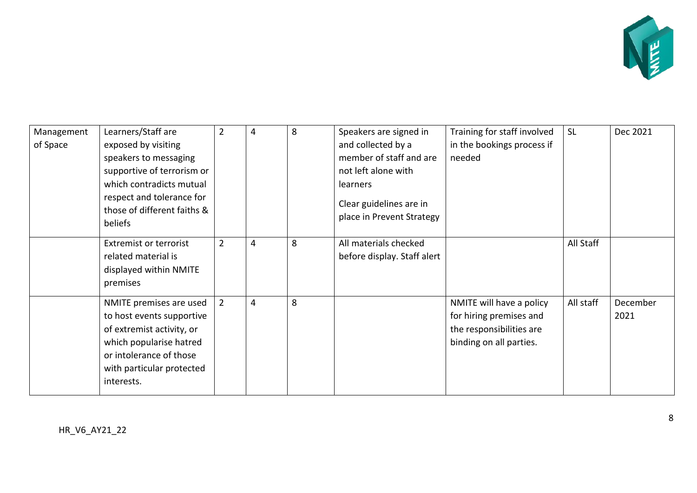

| Management<br>of Space | Learners/Staff are<br>exposed by visiting<br>speakers to messaging<br>supportive of terrorism or<br>which contradicts mutual<br>respect and tolerance for<br>those of different faiths &<br>beliefs | $\overline{2}$ | 4 | 8 | Speakers are signed in<br>and collected by a<br>member of staff and are<br>not left alone with<br>learners<br>Clear guidelines are in<br>place in Prevent Strategy | Training for staff involved<br>in the bookings process if<br>needed                                        | <b>SL</b> | Dec 2021         |
|------------------------|-----------------------------------------------------------------------------------------------------------------------------------------------------------------------------------------------------|----------------|---|---|--------------------------------------------------------------------------------------------------------------------------------------------------------------------|------------------------------------------------------------------------------------------------------------|-----------|------------------|
|                        | <b>Extremist or terrorist</b><br>related material is<br>displayed within NMITE<br>premises                                                                                                          | $\overline{2}$ | 4 | 8 | All materials checked<br>before display. Staff alert                                                                                                               |                                                                                                            | All Staff |                  |
|                        | NMITE premises are used<br>to host events supportive<br>of extremist activity, or<br>which popularise hatred<br>or intolerance of those<br>with particular protected<br>interests.                  | $\overline{2}$ | 4 | 8 |                                                                                                                                                                    | NMITE will have a policy<br>for hiring premises and<br>the responsibilities are<br>binding on all parties. | All staff | December<br>2021 |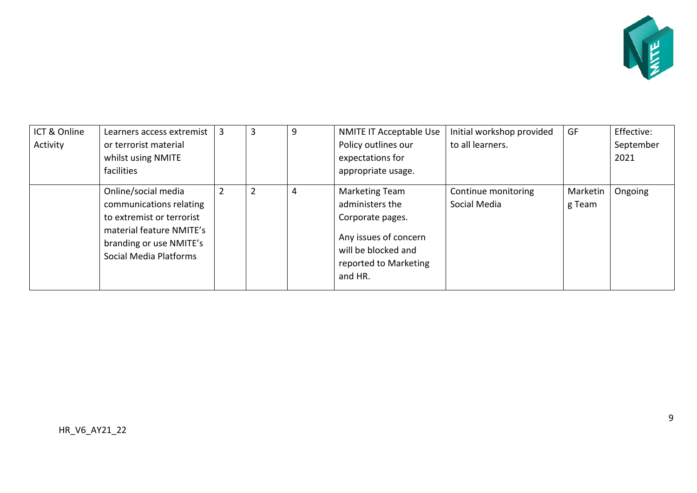

| ICT & Online | Learners access extremist                                                                                                                                    | 3              | 3              | 9              | NMITE IT Acceptable Use                                                                                                                   | Initial workshop provided           | GF                 | Effective: |
|--------------|--------------------------------------------------------------------------------------------------------------------------------------------------------------|----------------|----------------|----------------|-------------------------------------------------------------------------------------------------------------------------------------------|-------------------------------------|--------------------|------------|
| Activity     | or terrorist material                                                                                                                                        |                |                |                | Policy outlines our                                                                                                                       | to all learners.                    |                    | September  |
|              | whilst using NMITE                                                                                                                                           |                |                |                | expectations for                                                                                                                          |                                     |                    | 2021       |
|              | facilities                                                                                                                                                   |                |                |                | appropriate usage.                                                                                                                        |                                     |                    |            |
|              | Online/social media<br>communications relating<br>to extremist or terrorist<br>material feature NMITE's<br>branding or use NMITE's<br>Social Media Platforms | $\overline{2}$ | $\overline{2}$ | $\overline{4}$ | Marketing Team<br>administers the<br>Corporate pages.<br>Any issues of concern<br>will be blocked and<br>reported to Marketing<br>and HR. | Continue monitoring<br>Social Media | Marketin<br>g Team | Ongoing    |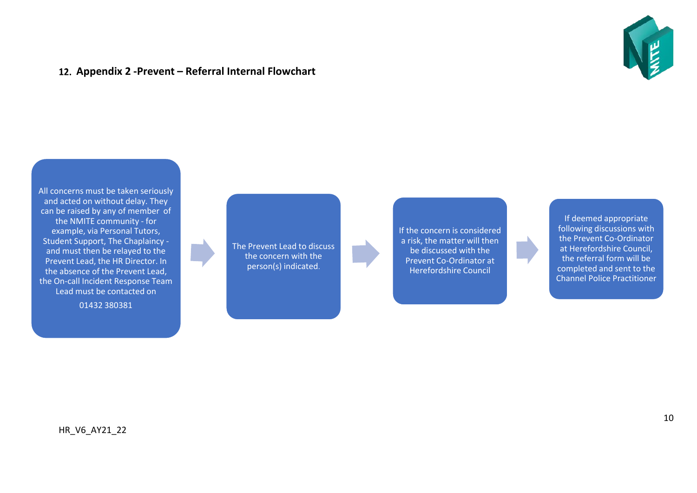### **Appendix 2 -Prevent – Referral Internal Flowchart**



All concerns must be taken seriously and acted on without delay. They can be raised by any of member of the NMITE community - for example, via Personal Tutors, Student Support, The Chaplaincy and must then be relayed to the Prevent Lead, the HR Director. In the absence of the Prevent Lead, the On-call Incident Response Team Lead must be contacted on

<span id="page-9-0"></span>01432 380381

The Prevent Lead to discuss the concern with the person(s) indicated.

If the concern is considered a risk, the matter will then be discussed with the Prevent Co-Ordinator at Herefordshire Council

If deemed appropriate following discussions with the Prevent Co-Ordinator at Herefordshire Council, the referral form will be completed and sent to the Channel Police Practitioner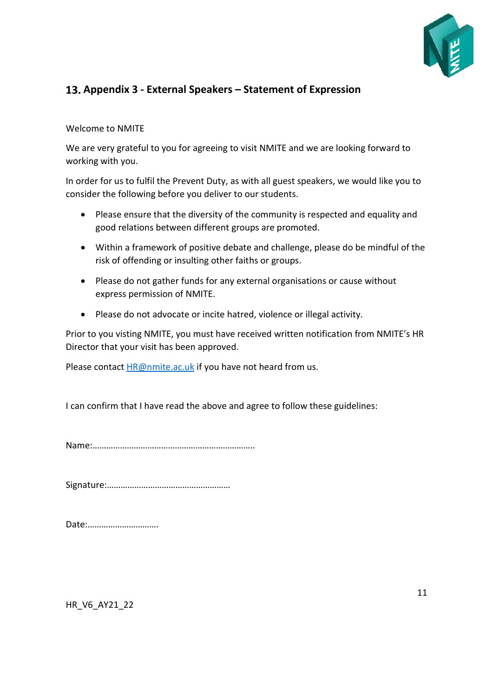

# <span id="page-10-0"></span>**Appendix 3 - External Speakers – Statement of Expression**

#### Welcome to NMITE

We are very grateful to you for agreeing to visit NMITE and we are looking forward to working with you.

In order for us to fulfil the Prevent Duty, as with all guest speakers, we would like you to consider the following before you deliver to our students.

- Please ensure that the diversity of the community is respected and equality and good relations between different groups are promoted.
- Within a framework of positive debate and challenge, please do be mindful of the risk of offending or insulting other faiths or groups.
- Please do not gather funds for any external organisations or cause without express permission of NMITE.
- Please do not advocate or incite hatred, violence or illegal activity.

Prior to you visting NMITE, you must have received written notification from NMITE's HR Director that your visit has been approved.

Please contac[t HR@nmite.ac.uk](mailto:HR@nmite.ac.uk) if you have not heard from us.

I can confirm that I have read the above and agree to follow these guidelines:

Name:……………………………………………………………..

Signature:………………………………………………

| Date: |
|-------|
|-------|

HR\_V6\_AY21\_22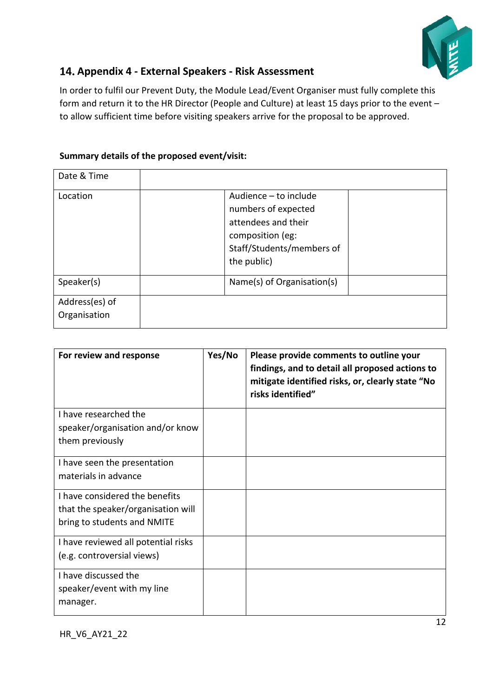

# <span id="page-11-0"></span>**Appendix 4 - External Speakers - Risk Assessment**

In order to fulfil our Prevent Duty, the Module Lead/Event Organiser must fully complete this form and return it to the HR Director (People and Culture) at least 15 days prior to the event – to allow sufficient time before visiting speakers arrive for the proposal to be approved.

## **Summary details of the proposed event/visit:**

| Date & Time                    |                                                                                                                                     |
|--------------------------------|-------------------------------------------------------------------------------------------------------------------------------------|
| Location                       | Audience - to include<br>numbers of expected<br>attendees and their<br>composition (eg:<br>Staff/Students/members of<br>the public) |
| Speaker(s)                     | Name(s) of Organisation(s)                                                                                                          |
| Address(es) of<br>Organisation |                                                                                                                                     |

| For review and response             | Yes/No | Please provide comments to outline your<br>findings, and to detail all proposed actions to<br>mitigate identified risks, or, clearly state "No<br>risks identified" |
|-------------------------------------|--------|---------------------------------------------------------------------------------------------------------------------------------------------------------------------|
| I have researched the               |        |                                                                                                                                                                     |
| speaker/organisation and/or know    |        |                                                                                                                                                                     |
| them previously                     |        |                                                                                                                                                                     |
| I have seen the presentation        |        |                                                                                                                                                                     |
| materials in advance                |        |                                                                                                                                                                     |
| I have considered the benefits      |        |                                                                                                                                                                     |
| that the speaker/organisation will  |        |                                                                                                                                                                     |
| bring to students and NMITE         |        |                                                                                                                                                                     |
| I have reviewed all potential risks |        |                                                                                                                                                                     |
| (e.g. controversial views)          |        |                                                                                                                                                                     |
| I have discussed the                |        |                                                                                                                                                                     |
| speaker/event with my line          |        |                                                                                                                                                                     |
| manager.                            |        |                                                                                                                                                                     |